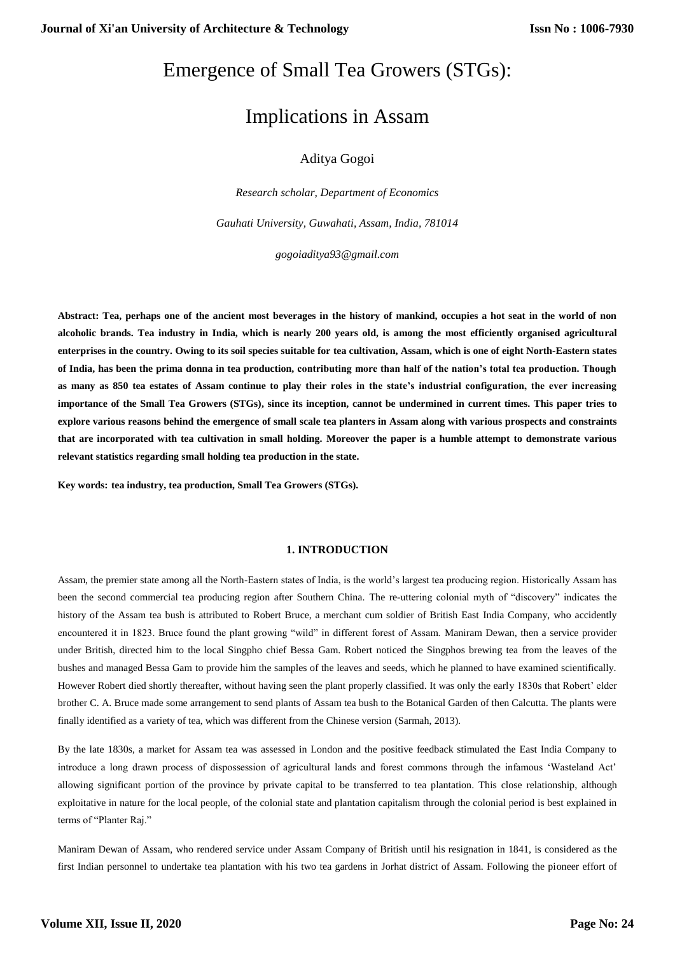## Emergence of Small Tea Growers (STGs):

# Implications in Assam

## Aditya Gogoi

*Research scholar, Department of Economics*

*Gauhati University, Guwahati, Assam, India, 781014*

*gogoiaditya93@gmail.com*

**Abstract: Tea, perhaps one of the ancient most beverages in the history of mankind, occupies a hot seat in the world of non alcoholic brands. Tea industry in India, which is nearly 200 years old, is among the most efficiently organised agricultural enterprises in the country. Owing to its soil species suitable for tea cultivation, Assam, which is one of eight North-Eastern states of India, has been the prima donna in tea production, contributing more than half of the nation's total tea production. Though as many as 850 tea estates of Assam continue to play their roles in the state's industrial configuration, the ever increasing importance of the Small Tea Growers (STGs), since its inception, cannot be undermined in current times. This paper tries to explore various reasons behind the emergence of small scale tea planters in Assam along with various prospects and constraints that are incorporated with tea cultivation in small holding. Moreover the paper is a humble attempt to demonstrate various relevant statistics regarding small holding tea production in the state.**

**Key words: tea industry, tea production, Small Tea Growers (STGs).**

#### **1. INTRODUCTION**

Assam, the premier state among all the North-Eastern states of India, is the world's largest tea producing region. Historically Assam has been the second commercial tea producing region after Southern China. The re-uttering colonial myth of "discovery" indicates the history of the Assam tea bush is attributed to Robert Bruce, a merchant cum soldier of British East India Company, who accidently encountered it in 1823. Bruce found the plant growing "wild" in different forest of Assam. Maniram Dewan, then a service provider under British, directed him to the local Singpho chief Bessa Gam. Robert noticed the Singphos brewing tea from the leaves of the bushes and managed Bessa Gam to provide him the samples of the leaves and seeds, which he planned to have examined scientifically. However Robert died shortly thereafter, without having seen the plant properly classified. It was only the early 1830s that Robert' elder brother C. A. Bruce made some arrangement to send plants of Assam tea bush to the Botanical Garden of then Calcutta. The plants were finally identified as a variety of tea, which was different from the Chinese version (Sarmah, 2013).

By the late 1830s, a market for Assam tea was assessed in London and the positive feedback stimulated the East India Company to introduce a long drawn process of dispossession of agricultural lands and forest commons through the infamous 'Wasteland Act' allowing significant portion of the province by private capital to be transferred to tea plantation. This close relationship, although exploitative in nature for the local people, of the colonial state and plantation capitalism through the colonial period is best explained in terms of "Planter Raj."

Maniram Dewan of Assam, who rendered service under Assam Company of British until his resignation in 1841, is considered as the first Indian personnel to undertake tea plantation with his two tea gardens in Jorhat district of Assam. Following the pioneer effort of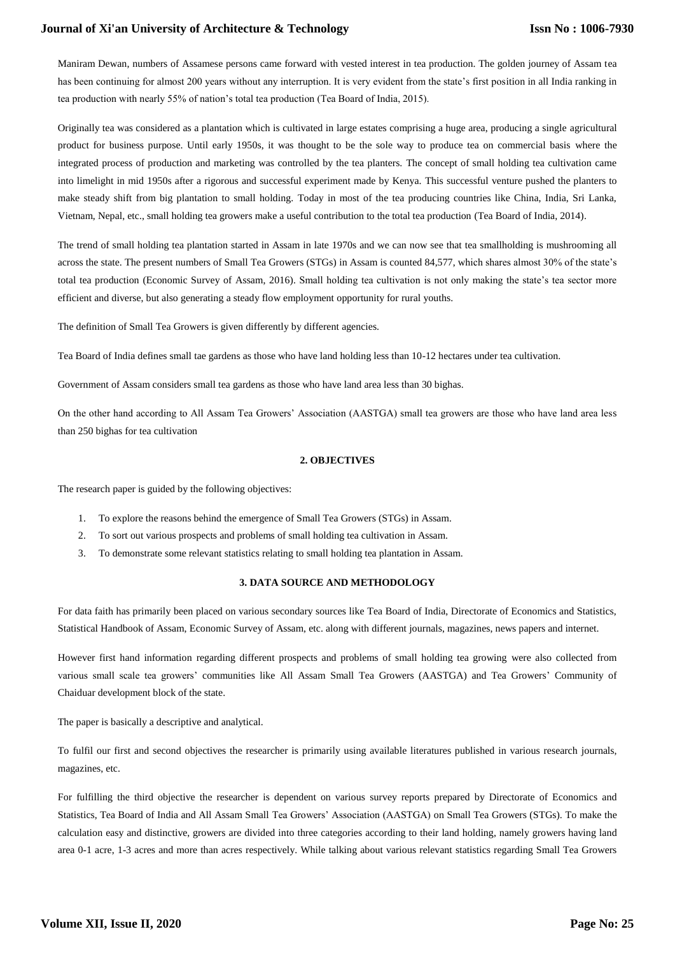## **Journal of Xi'an University of Architecture & Technology**

Maniram Dewan, numbers of Assamese persons came forward with vested interest in tea production. The golden journey of Assam tea has been continuing for almost 200 years without any interruption. It is very evident from the state's first position in all India ranking in tea production with nearly 55% of nation's total tea production (Tea Board of India, 2015).

Originally tea was considered as a plantation which is cultivated in large estates comprising a huge area, producing a single agricultural product for business purpose. Until early 1950s, it was thought to be the sole way to produce tea on commercial basis where the integrated process of production and marketing was controlled by the tea planters. The concept of small holding tea cultivation came into limelight in mid 1950s after a rigorous and successful experiment made by Kenya. This successful venture pushed the planters to make steady shift from big plantation to small holding. Today in most of the tea producing countries like China, India, Sri Lanka, Vietnam, Nepal, etc., small holding tea growers make a useful contribution to the total tea production (Tea Board of India, 2014).

The trend of small holding tea plantation started in Assam in late 1970s and we can now see that tea smallholding is mushrooming all across the state. The present numbers of Small Tea Growers (STGs) in Assam is counted 84,577, which shares almost 30% of the state's total tea production (Economic Survey of Assam, 2016). Small holding tea cultivation is not only making the state's tea sector more efficient and diverse, but also generating a steady flow employment opportunity for rural youths.

The definition of Small Tea Growers is given differently by different agencies.

Tea Board of India defines small tae gardens as those who have land holding less than 10-12 hectares under tea cultivation.

Government of Assam considers small tea gardens as those who have land area less than 30 bighas.

On the other hand according to All Assam Tea Growers' Association (AASTGA) small tea growers are those who have land area less than 250 bighas for tea cultivation

## **2. OBJECTIVES**

The research paper is guided by the following objectives:

- 1. To explore the reasons behind the emergence of Small Tea Growers (STGs) in Assam.
- 2. To sort out various prospects and problems of small holding tea cultivation in Assam.
- 3. To demonstrate some relevant statistics relating to small holding tea plantation in Assam.

#### **3. DATA SOURCE AND METHODOLOGY**

For data faith has primarily been placed on various secondary sources like Tea Board of India, Directorate of Economics and Statistics, Statistical Handbook of Assam, Economic Survey of Assam, etc. along with different journals, magazines, news papers and internet.

However first hand information regarding different prospects and problems of small holding tea growing were also collected from various small scale tea growers' communities like All Assam Small Tea Growers (AASTGA) and Tea Growers' Community of Chaiduar development block of the state.

The paper is basically a descriptive and analytical.

To fulfil our first and second objectives the researcher is primarily using available literatures published in various research journals, magazines, etc.

For fulfilling the third objective the researcher is dependent on various survey reports prepared by Directorate of Economics and Statistics, Tea Board of India and All Assam Small Tea Growers' Association (AASTGA) on Small Tea Growers (STGs). To make the calculation easy and distinctive, growers are divided into three categories according to their land holding, namely growers having land area 0-1 acre, 1-3 acres and more than acres respectively. While talking about various relevant statistics regarding Small Tea Growers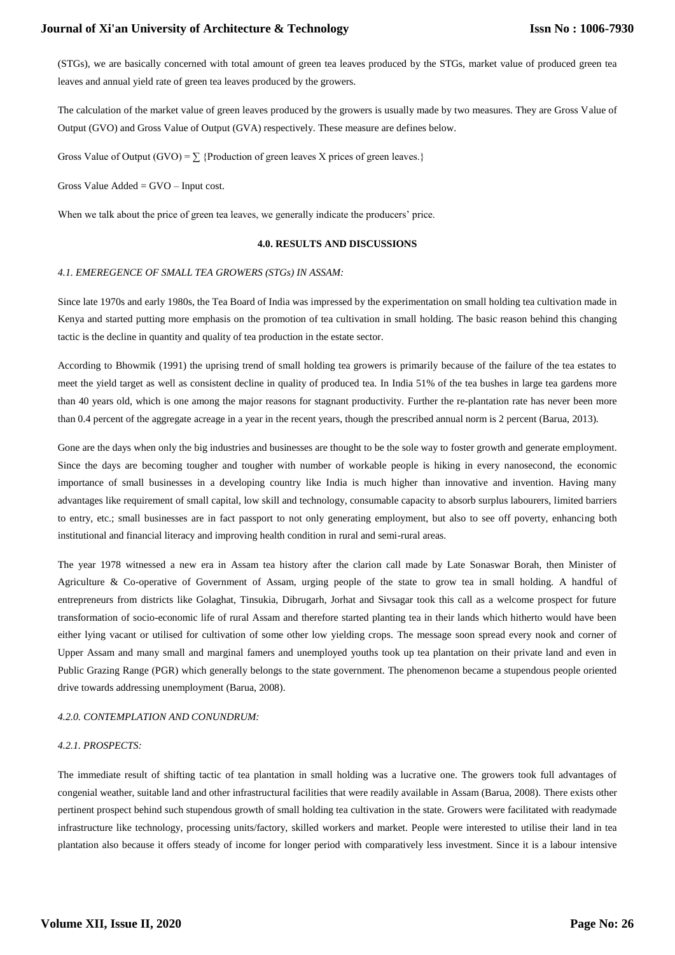(STGs), we are basically concerned with total amount of green tea leaves produced by the STGs, market value of produced green tea leaves and annual yield rate of green tea leaves produced by the growers.

The calculation of the market value of green leaves produced by the growers is usually made by two measures. They are Gross Value of Output (GVO) and Gross Value of Output (GVA) respectively. These measure are defines below.

Gross Value of Output (GVO) =  $\sum$  {Production of green leaves X prices of green leaves.}

Gross Value  $\text{Added} = \text{GVO} - \text{Input cost}.$ 

When we talk about the price of green tea leaves, we generally indicate the producers' price.

#### **4.0. RESULTS AND DISCUSSIONS**

#### *4.1. EMEREGENCE OF SMALL TEA GROWERS (STGs) IN ASSAM:*

Since late 1970s and early 1980s, the Tea Board of India was impressed by the experimentation on small holding tea cultivation made in Kenya and started putting more emphasis on the promotion of tea cultivation in small holding. The basic reason behind this changing tactic is the decline in quantity and quality of tea production in the estate sector.

According to Bhowmik (1991) the uprising trend of small holding tea growers is primarily because of the failure of the tea estates to meet the yield target as well as consistent decline in quality of produced tea. In India 51% of the tea bushes in large tea gardens more than 40 years old, which is one among the major reasons for stagnant productivity. Further the re-plantation rate has never been more than 0.4 percent of the aggregate acreage in a year in the recent years, though the prescribed annual norm is 2 percent (Barua, 2013).

Gone are the days when only the big industries and businesses are thought to be the sole way to foster growth and generate employment. Since the days are becoming tougher and tougher with number of workable people is hiking in every nanosecond, the economic importance of small businesses in a developing country like India is much higher than innovative and invention. Having many advantages like requirement of small capital, low skill and technology, consumable capacity to absorb surplus labourers, limited barriers to entry, etc.; small businesses are in fact passport to not only generating employment, but also to see off poverty, enhancing both institutional and financial literacy and improving health condition in rural and semi-rural areas.

The year 1978 witnessed a new era in Assam tea history after the clarion call made by Late Sonaswar Borah, then Minister of Agriculture & Co-operative of Government of Assam, urging people of the state to grow tea in small holding. A handful of entrepreneurs from districts like Golaghat, Tinsukia, Dibrugarh, Jorhat and Sivsagar took this call as a welcome prospect for future transformation of socio-economic life of rural Assam and therefore started planting tea in their lands which hitherto would have been either lying vacant or utilised for cultivation of some other low yielding crops. The message soon spread every nook and corner of Upper Assam and many small and marginal famers and unemployed youths took up tea plantation on their private land and even in Public Grazing Range (PGR) which generally belongs to the state government. The phenomenon became a stupendous people oriented drive towards addressing unemployment (Barua, 2008).

#### *4.2.0. CONTEMPLATION AND CONUNDRUM:*

#### *4.2.1. PROSPECTS:*

The immediate result of shifting tactic of tea plantation in small holding was a lucrative one. The growers took full advantages of congenial weather, suitable land and other infrastructural facilities that were readily available in Assam (Barua, 2008). There exists other pertinent prospect behind such stupendous growth of small holding tea cultivation in the state. Growers were facilitated with readymade infrastructure like technology, processing units/factory, skilled workers and market. People were interested to utilise their land in tea plantation also because it offers steady of income for longer period with comparatively less investment. Since it is a labour intensive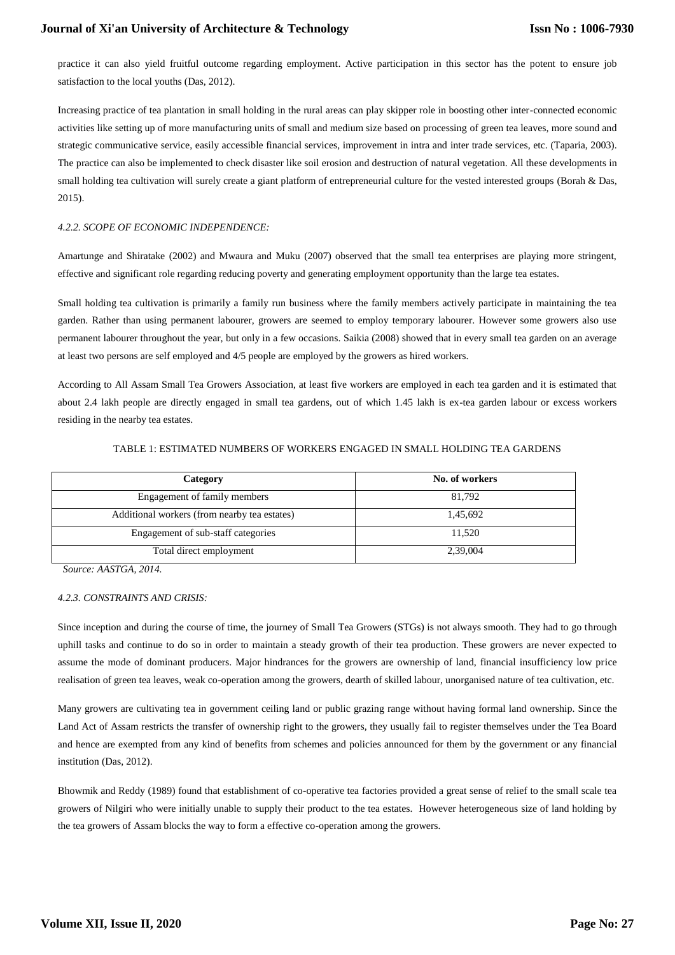practice it can also yield fruitful outcome regarding employment. Active participation in this sector has the potent to ensure job satisfaction to the local youths (Das, 2012).

Increasing practice of tea plantation in small holding in the rural areas can play skipper role in boosting other inter-connected economic activities like setting up of more manufacturing units of small and medium size based on processing of green tea leaves, more sound and strategic communicative service, easily accessible financial services, improvement in intra and inter trade services, etc. (Taparia, 2003). The practice can also be implemented to check disaster like soil erosion and destruction of natural vegetation. All these developments in small holding tea cultivation will surely create a giant platform of entrepreneurial culture for the vested interested groups (Borah & Das, 2015).

## *4.2.2. SCOPE OF ECONOMIC INDEPENDENCE:*

Amartunge and Shiratake (2002) and Mwaura and Muku (2007) observed that the small tea enterprises are playing more stringent, effective and significant role regarding reducing poverty and generating employment opportunity than the large tea estates.

Small holding tea cultivation is primarily a family run business where the family members actively participate in maintaining the tea garden. Rather than using permanent labourer, growers are seemed to employ temporary labourer. However some growers also use permanent labourer throughout the year, but only in a few occasions. Saikia (2008) showed that in every small tea garden on an average at least two persons are self employed and 4/5 people are employed by the growers as hired workers.

According to All Assam Small Tea Growers Association, at least five workers are employed in each tea garden and it is estimated that about 2.4 lakh people are directly engaged in small tea gardens, out of which 1.45 lakh is ex-tea garden labour or excess workers residing in the nearby tea estates.

| Category                                     | No. of workers |  |
|----------------------------------------------|----------------|--|
| Engagement of family members                 | 81.792         |  |
| Additional workers (from nearby tea estates) | 1,45,692       |  |
| Engagement of sub-staff categories           | 11.520         |  |
| Total direct employment                      | 2,39,004       |  |

#### TABLE 1: ESTIMATED NUMBERS OF WORKERS ENGAGED IN SMALL HOLDING TEA GARDENS

*Source: AASTGA, 2014.*

## *4.2.3. CONSTRAINTS AND CRISIS:*

Since inception and during the course of time, the journey of Small Tea Growers (STGs) is not always smooth. They had to go through uphill tasks and continue to do so in order to maintain a steady growth of their tea production. These growers are never expected to assume the mode of dominant producers. Major hindrances for the growers are ownership of land, financial insufficiency low price realisation of green tea leaves, weak co-operation among the growers, dearth of skilled labour, unorganised nature of tea cultivation, etc.

Many growers are cultivating tea in government ceiling land or public grazing range without having formal land ownership. Since the Land Act of Assam restricts the transfer of ownership right to the growers, they usually fail to register themselves under the Tea Board and hence are exempted from any kind of benefits from schemes and policies announced for them by the government or any financial institution (Das, 2012).

Bhowmik and Reddy (1989) found that establishment of co-operative tea factories provided a great sense of relief to the small scale tea growers of Nilgiri who were initially unable to supply their product to the tea estates. However heterogeneous size of land holding by the tea growers of Assam blocks the way to form a effective co-operation among the growers.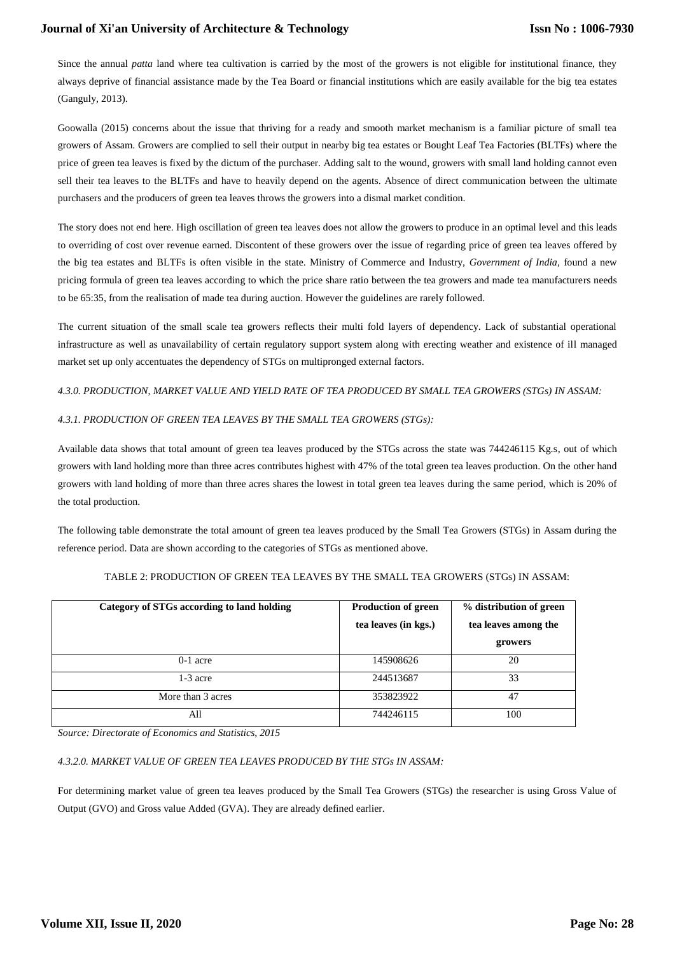## **Journal of Xi'an University of Architecture & Technology**

Since the annual *patta* land where tea cultivation is carried by the most of the growers is not eligible for institutional finance, they always deprive of financial assistance made by the Tea Board or financial institutions which are easily available for the big tea estates (Ganguly, 2013).

Goowalla (2015) concerns about the issue that thriving for a ready and smooth market mechanism is a familiar picture of small tea growers of Assam. Growers are complied to sell their output in nearby big tea estates or Bought Leaf Tea Factories (BLTFs) where the price of green tea leaves is fixed by the dictum of the purchaser. Adding salt to the wound, growers with small land holding cannot even sell their tea leaves to the BLTFs and have to heavily depend on the agents. Absence of direct communication between the ultimate purchasers and the producers of green tea leaves throws the growers into a dismal market condition.

The story does not end here. High oscillation of green tea leaves does not allow the growers to produce in an optimal level and this leads to overriding of cost over revenue earned. Discontent of these growers over the issue of regarding price of green tea leaves offered by the big tea estates and BLTFs is often visible in the state. Ministry of Commerce and Industry, *Government of India,* found a new pricing formula of green tea leaves according to which the price share ratio between the tea growers and made tea manufacturers needs to be 65:35, from the realisation of made tea during auction. However the guidelines are rarely followed.

The current situation of the small scale tea growers reflects their multi fold layers of dependency. Lack of substantial operational infrastructure as well as unavailability of certain regulatory support system along with erecting weather and existence of ill managed market set up only accentuates the dependency of STGs on multipronged external factors.

## *4.3.0. PRODUCTION, MARKET VALUE AND YIELD RATE OF TEA PRODUCED BY SMALL TEA GROWERS (STGs) IN ASSAM:*

## *4.3.1. PRODUCTION OF GREEN TEA LEAVES BY THE SMALL TEA GROWERS (STGs):*

Available data shows that total amount of green tea leaves produced by the STGs across the state was 744246115 Kg.s, out of which growers with land holding more than three acres contributes highest with 47% of the total green tea leaves production. On the other hand growers with land holding of more than three acres shares the lowest in total green tea leaves during the same period, which is 20% of the total production.

The following table demonstrate the total amount of green tea leaves produced by the Small Tea Growers (STGs) in Assam during the reference period. Data are shown according to the categories of STGs as mentioned above.

| Category of STGs according to land holding | <b>Production of green</b><br>tea leaves (in kgs.) | % distribution of green<br>tea leaves among the |
|--------------------------------------------|----------------------------------------------------|-------------------------------------------------|
|                                            |                                                    | growers                                         |
| $0-1$ acre                                 | 145908626                                          | 20                                              |
| $1-3$ acre                                 | 244513687                                          | 33                                              |
| More than 3 acres                          | 353823922                                          | 47                                              |
| All                                        | 744246115                                          | 100                                             |

## TABLE 2: PRODUCTION OF GREEN TEA LEAVES BY THE SMALL TEA GROWERS (STGs) IN ASSAM:

*Source: Directorate of Economics and Statistics, 2015* 

## *4.3.2.0. MARKET VALUE OF GREEN TEA LEAVES PRODUCED BY THE STGs IN ASSAM:*

For determining market value of green tea leaves produced by the Small Tea Growers (STGs) the researcher is using Gross Value of Output (GVO) and Gross value Added (GVA). They are already defined earlier.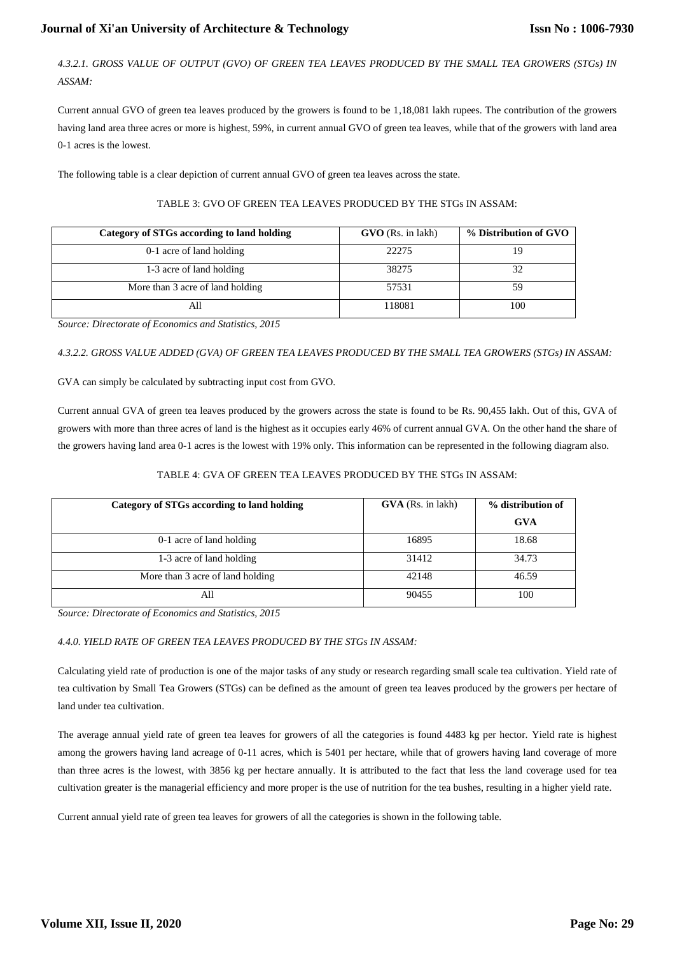*4.3.2.1. GROSS VALUE OF OUTPUT (GVO) OF GREEN TEA LEAVES PRODUCED BY THE SMALL TEA GROWERS (STGs) IN ASSAM:*

Current annual GVO of green tea leaves produced by the growers is found to be 1,18,081 lakh rupees. The contribution of the growers having land area three acres or more is highest, 59%, in current annual GVO of green tea leaves, while that of the growers with land area 0-1 acres is the lowest.

The following table is a clear depiction of current annual GVO of green tea leaves across the state.

| Category of STGs according to land holding | <b>GVO</b> (Rs. in lakh) | % Distribution of GVO |
|--------------------------------------------|--------------------------|-----------------------|
| 0-1 acre of land holding                   | 22275                    |                       |
| 1-3 acre of land holding                   | 38275                    | 32                    |
| More than 3 acre of land holding           | 57531                    | 59                    |
| All                                        | 118081                   | 100                   |

## TABLE 3: GVO OF GREEN TEA LEAVES PRODUCED BY THE STGs IN ASSAM:

*Source: Directorate of Economics and Statistics, 2015*

*4.3.2.2. GROSS VALUE ADDED (GVA) OF GREEN TEA LEAVES PRODUCED BY THE SMALL TEA GROWERS (STGs) IN ASSAM:*

GVA can simply be calculated by subtracting input cost from GVO.

Current annual GVA of green tea leaves produced by the growers across the state is found to be Rs. 90,455 lakh. Out of this, GVA of growers with more than three acres of land is the highest as it occupies early 46% of current annual GVA. On the other hand the share of the growers having land area 0-1 acres is the lowest with 19% only. This information can be represented in the following diagram also.

## TABLE 4: GVA OF GREEN TEA LEAVES PRODUCED BY THE STGs IN ASSAM:

| Category of STGs according to land holding | <b>GVA</b> (Rs. in lakh) | % distribution of |
|--------------------------------------------|--------------------------|-------------------|
|                                            |                          | <b>GVA</b>        |
| 0-1 acre of land holding                   | 16895                    | 18.68             |
| 1-3 acre of land holding                   | 31412                    | 34.73             |
| More than 3 acre of land holding           | 42148                    | 46.59             |
| All                                        | 90455                    | 100               |

*Source: Directorate of Economics and Statistics, 2015* 

## *4.4.0. YIELD RATE OF GREEN TEA LEAVES PRODUCED BY THE STGs IN ASSAM:*

Calculating yield rate of production is one of the major tasks of any study or research regarding small scale tea cultivation. Yield rate of tea cultivation by Small Tea Growers (STGs) can be defined as the amount of green tea leaves produced by the growers per hectare of land under tea cultivation.

The average annual yield rate of green tea leaves for growers of all the categories is found 4483 kg per hector. Yield rate is highest among the growers having land acreage of 0-11 acres, which is 5401 per hectare, while that of growers having land coverage of more than three acres is the lowest, with 3856 kg per hectare annually. It is attributed to the fact that less the land coverage used for tea cultivation greater is the managerial efficiency and more proper is the use of nutrition for the tea bushes, resulting in a higher yield rate.

Current annual yield rate of green tea leaves for growers of all the categories is shown in the following table.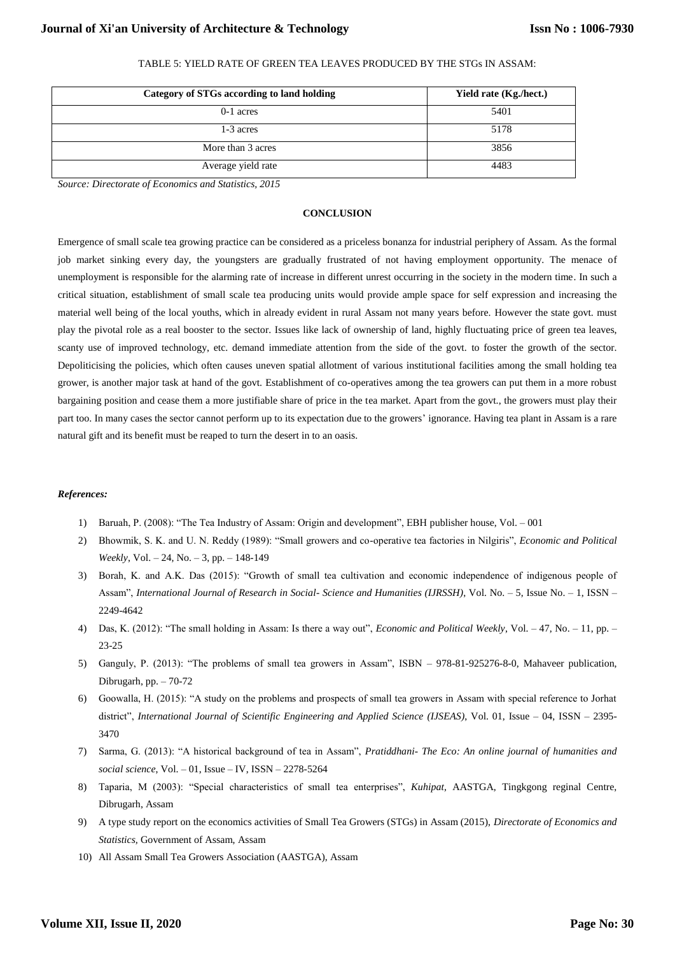| Category of STGs according to land holding | Yield rate (Kg./hect.) |
|--------------------------------------------|------------------------|
| $0-1$ acres                                | 5401                   |
| 1-3 acres                                  | 5178                   |
| More than 3 acres                          | 3856                   |
| Average yield rate                         | 4483                   |

## TABLE 5: YIELD RATE OF GREEN TEA LEAVES PRODUCED BY THE STGs IN ASSAM:

*Source: Directorate of Economics and Statistics, 2015* 

#### **CONCLUSION**

Emergence of small scale tea growing practice can be considered as a priceless bonanza for industrial periphery of Assam. As the formal job market sinking every day, the youngsters are gradually frustrated of not having employment opportunity. The menace of unemployment is responsible for the alarming rate of increase in different unrest occurring in the society in the modern time. In such a critical situation, establishment of small scale tea producing units would provide ample space for self expression and increasing the material well being of the local youths, which in already evident in rural Assam not many years before. However the state govt. must play the pivotal role as a real booster to the sector. Issues like lack of ownership of land, highly fluctuating price of green tea leaves, scanty use of improved technology, etc. demand immediate attention from the side of the govt. to foster the growth of the sector. Depoliticising the policies, which often causes uneven spatial allotment of various institutional facilities among the small holding tea grower, is another major task at hand of the govt. Establishment of co-operatives among the tea growers can put them in a more robust bargaining position and cease them a more justifiable share of price in the tea market. Apart from the govt., the growers must play their part too. In many cases the sector cannot perform up to its expectation due to the growers' ignorance. Having tea plant in Assam is a rare natural gift and its benefit must be reaped to turn the desert in to an oasis.

#### *References:*

- 1) Baruah, P. (2008): "The Tea Industry of Assam: Origin and development", EBH publisher house, Vol. 001
- 2) Bhowmik, S. K. and U. N. Reddy (1989): "Small growers and co-operative tea factories in Nilgiris", *Economic and Political Weekly*, Vol. – 24, No. – 3, pp. – 148-149
- 3) Borah, K. and A.K. Das (2015): "Growth of small tea cultivation and economic independence of indigenous people of Assam", *International Journal of Research in Social- Science and Humanities (IJRSSH)*, Vol. No. – 5, Issue No. – 1, ISSN – 2249-4642
- 4) Das, K. (2012): "The small holding in Assam: Is there a way out", *Economic and Political Weekly*, Vol. 47, No. 11, pp. 23-25
- 5) Ganguly, P. (2013): "The problems of small tea growers in Assam", ISBN 978-81-925276-8-0, Mahaveer publication, Dibrugarh, pp. – 70-72
- 6) Goowalla, H. (2015): "A study on the problems and prospects of small tea growers in Assam with special reference to Jorhat district", *International Journal of Scientific Engineering and Applied Science (IJSEAS)*, Vol. 01, Issue – 04, ISSN – 2395- 3470
- 7) Sarma, G. (2013): "A historical background of tea in Assam", *Pratiddhani- The Eco: An online journal of humanities and social science*, Vol. – 01, Issue – IV, ISSN – 2278-5264
- 8) Taparia, M (2003): "Special characteristics of small tea enterprises", *Kuhipat,* AASTGA, Tingkgong reginal Centre, Dibrugarh, Assam
- 9) A type study report on the economics activities of Small Tea Growers (STGs) in Assam (2015), *Directorate of Economics and Statistics,* Government of Assam, Assam
- 10) All Assam Small Tea Growers Association (AASTGA), Assam